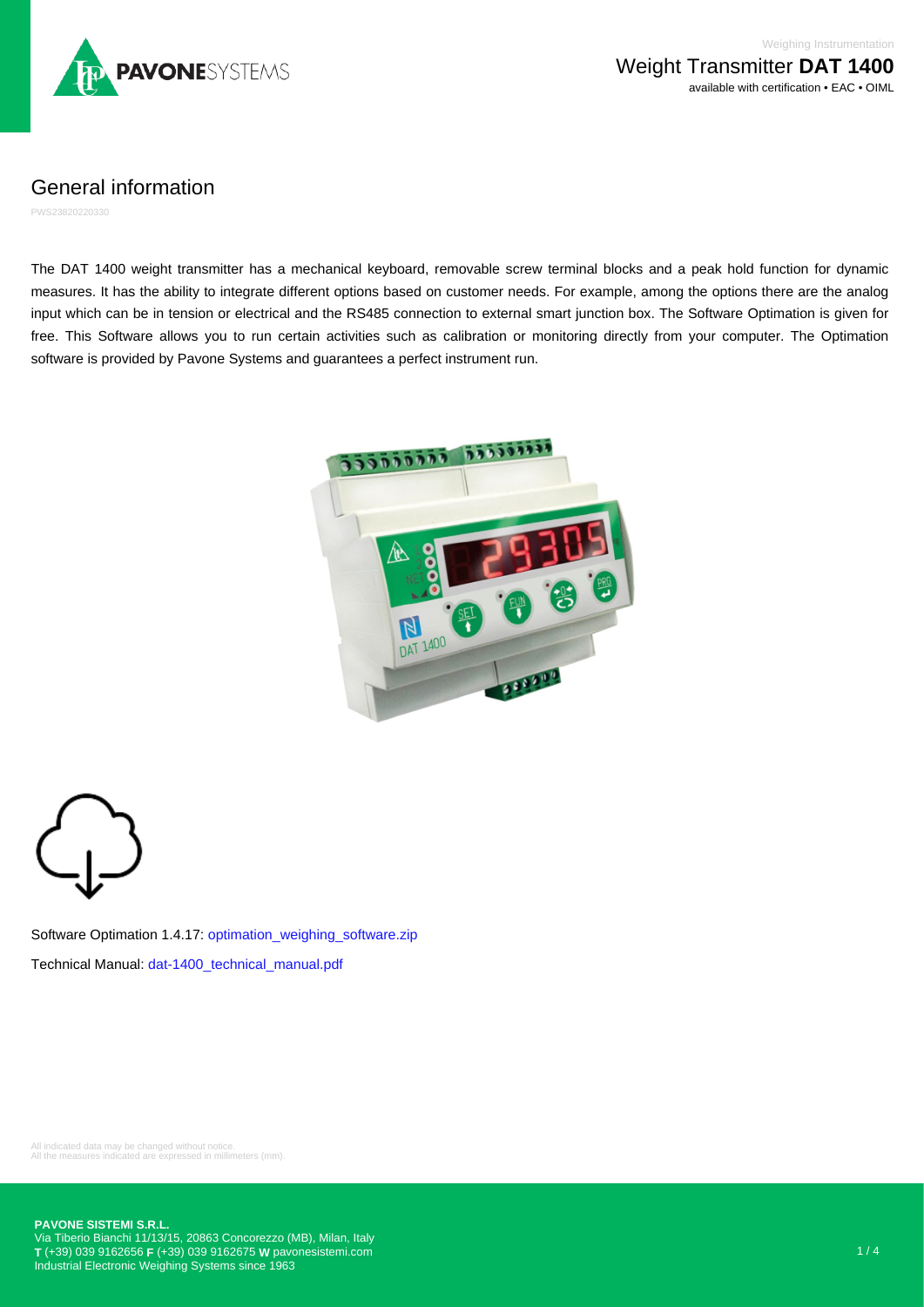

General information

PWS23820220330

The DAT 1400 weight transmitter has a mechanical keyboard, removable screw terminal blocks and a peak hold function for dynamic measures. It has the ability to integrate different options based on customer needs. For example, among the options there are the analog input which can be in tension or electrical and the RS485 connection to external smart junction box. The Software Optimation is given for free. This Software allows you to run certain activities such as calibration or monitoring directly from your computer. The Optimation software is provided by Pavone Systems and guarantees a perfect instrument run.



Software Optimation 1.4.17: [optimation\\_weighing\\_software.zip](https://www.pavonesistemi.com/app_data/docs/products/software/optimation_weighing_software.zip) Technical Manual: [dat-1400\\_technical\\_manual.pdf](https://www.pavonesistemi.com/app_data/docs/products/manuals/dat-1400_technical_manual.pdf)

All indicated data may be changed without notice. All the measures indicated are expressed in millimeters (mm).

**PAVONE SISTEMI S.R.L.**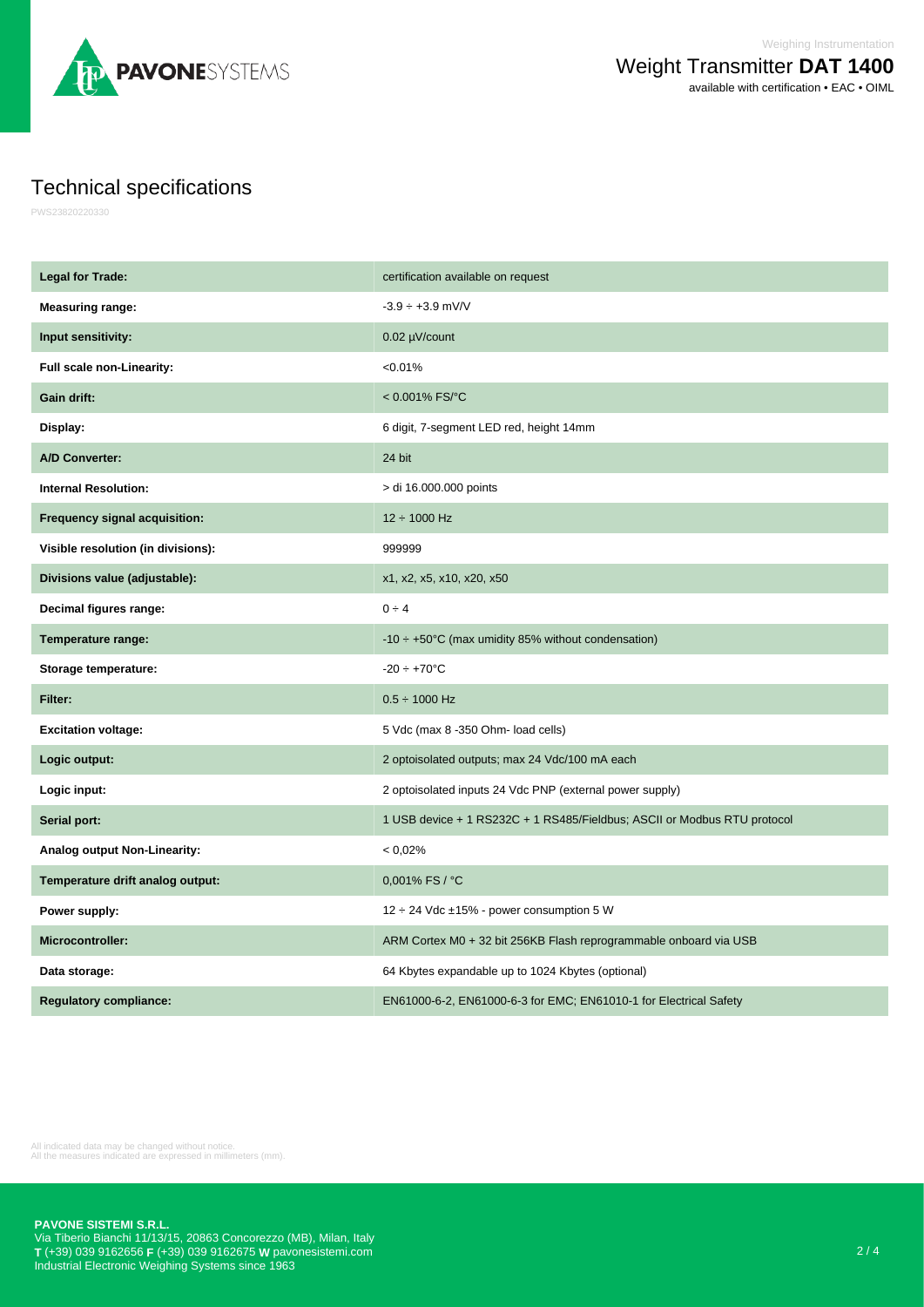

## Technical specifications

PWS23820220330

| <b>Legal for Trade:</b>            | certification available on request                                       |
|------------------------------------|--------------------------------------------------------------------------|
| <b>Measuring range:</b>            | $-3.9 \div +3.9$ mV/V                                                    |
| Input sensitivity:                 | 0.02 µV/count                                                            |
| Full scale non-Linearity:          | < 0.01%                                                                  |
| Gain drift:                        | $< 0.001\%$ FS/°C                                                        |
| Display:                           | 6 digit, 7-segment LED red, height 14mm                                  |
| <b>A/D Converter:</b>              | 24 bit                                                                   |
| <b>Internal Resolution:</b>        | > di 16.000.000 points                                                   |
| Frequency signal acquisition:      | $12 \div 1000$ Hz                                                        |
| Visible resolution (in divisions): | 999999                                                                   |
| Divisions value (adjustable):      | x1, x2, x5, x10, x20, x50                                                |
| Decimal figures range:             | $0 \div 4$                                                               |
| Temperature range:                 | $-10 \div +50^{\circ}$ C (max umidity 85% without condensation)          |
| Storage temperature:               | $-20 \div +70$ °C                                                        |
| Filter:                            | $0.5 \div 1000$ Hz                                                       |
| <b>Excitation voltage:</b>         | 5 Vdc (max 8 -350 Ohm- load cells)                                       |
| Logic output:                      | 2 optoisolated outputs; max 24 Vdc/100 mA each                           |
| Logic input:                       | 2 optoisolated inputs 24 Vdc PNP (external power supply)                 |
| Serial port:                       | 1 USB device + 1 RS232C + 1 RS485/Fieldbus; ASCII or Modbus RTU protocol |
| Analog output Non-Linearity:       | < 0.02%                                                                  |
| Temperature drift analog output:   | 0,001% FS / °C                                                           |
| Power supply:                      | 12 ÷ 24 Vdc ±15% - power consumption 5 W                                 |
| <b>Microcontroller:</b>            | ARM Cortex M0 + 32 bit 256KB Flash reprogrammable onboard via USB        |
| Data storage:                      | 64 Kbytes expandable up to 1024 Kbytes (optional)                        |
| <b>Regulatory compliance:</b>      | EN61000-6-2, EN61000-6-3 for EMC; EN61010-1 for Electrical Safety        |

All indicated data may be changed without notice. All the measures indicated are expressed in millimeters (mm).

**PAVONE SISTEMI S.R.L.**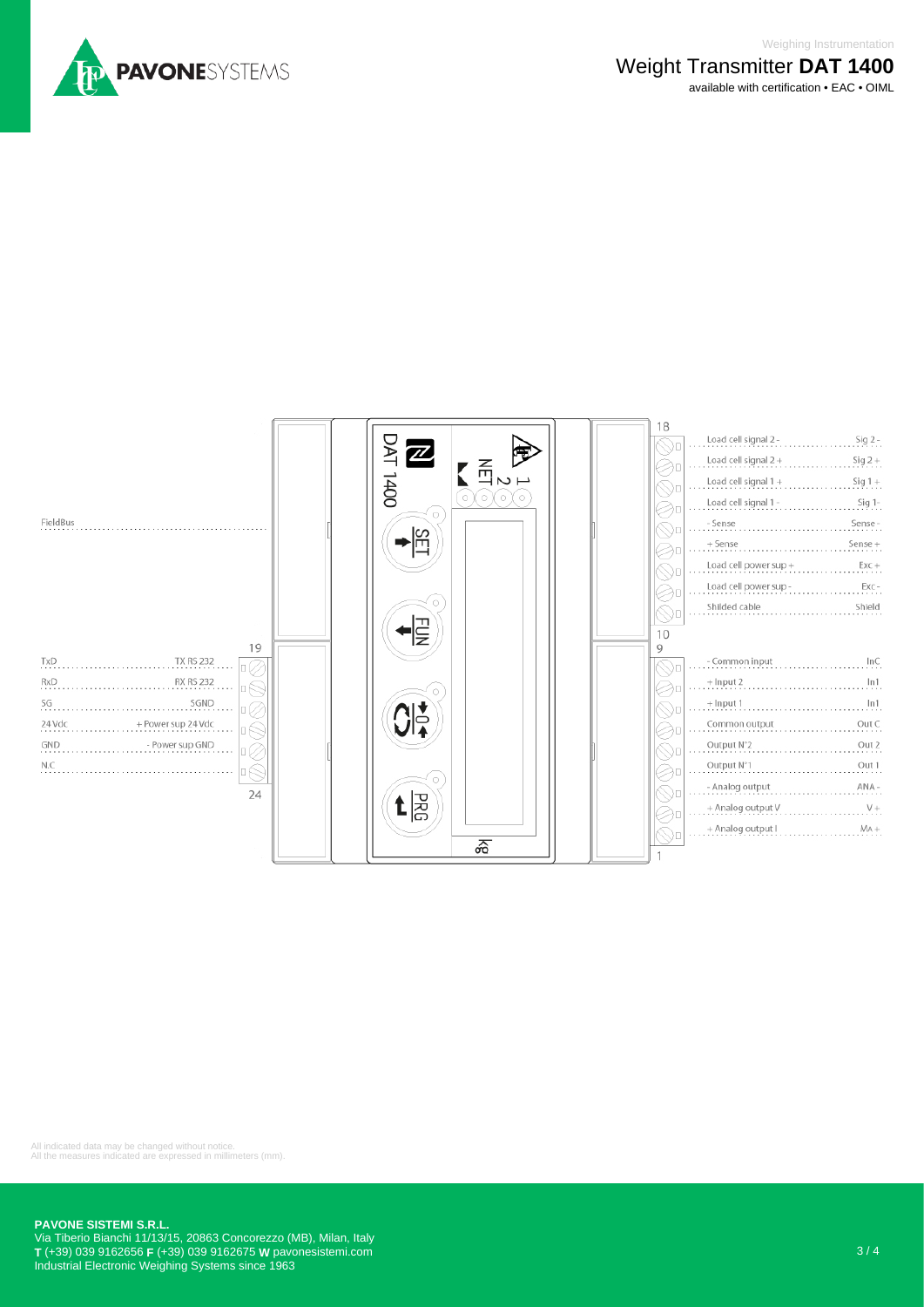



All indicated data may be changed without notice. All the measures indicated are expressed in millimeters (mm).

## **PAVONE SISTEMI S.R.L.**